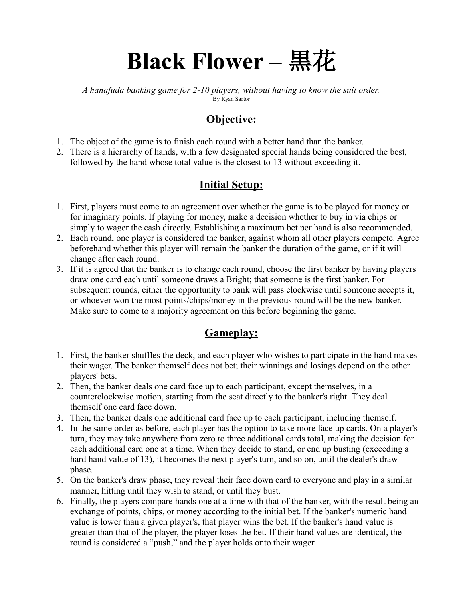# **Black Flower –** 黒花

*A hanafuda banking game for 2-10 players, without having to know the suit order.* By Ryan Sartor

## **Objective:**

- 1. The object of the game is to finish each round with a better hand than the banker.
- 2. There is a hierarchy of hands, with a few designated special hands being considered the best, followed by the hand whose total value is the closest to 13 without exceeding it.

# **Initial Setup:**

- 1. First, players must come to an agreement over whether the game is to be played for money or for imaginary points. If playing for money, make a decision whether to buy in via chips or simply to wager the cash directly. Establishing a maximum bet per hand is also recommended.
- 2. Each round, one player is considered the banker, against whom all other players compete. Agree beforehand whether this player will remain the banker the duration of the game, or if it will change after each round.
- 3. If it is agreed that the banker is to change each round, choose the first banker by having players draw one card each until someone draws a Bright; that someone is the first banker. For subsequent rounds, either the opportunity to bank will pass clockwise until someone accepts it, or whoever won the most points/chips/money in the previous round will be the new banker. Make sure to come to a majority agreement on this before beginning the game.

## **Gameplay:**

- 1. First, the banker shuffles the deck, and each player who wishes to participate in the hand makes their wager. The banker themself does not bet; their winnings and losings depend on the other players' bets.
- 2. Then, the banker deals one card face up to each participant, except themselves, in a counterclockwise motion, starting from the seat directly to the banker's right. They deal themself one card face down.
- 3. Then, the banker deals one additional card face up to each participant, including themself.
- 4. In the same order as before, each player has the option to take more face up cards. On a player's turn, they may take anywhere from zero to three additional cards total, making the decision for each additional card one at a time. When they decide to stand, or end up busting (exceeding a hard hand value of 13), it becomes the next player's turn, and so on, until the dealer's draw phase.
- 5. On the banker's draw phase, they reveal their face down card to everyone and play in a similar manner, hitting until they wish to stand, or until they bust.
- 6. Finally, the players compare hands one at a time with that of the banker, with the result being an exchange of points, chips, or money according to the initial bet. If the banker's numeric hand value is lower than a given player's, that player wins the bet. If the banker's hand value is greater than that of the player, the player loses the bet. If their hand values are identical, the round is considered a "push," and the player holds onto their wager.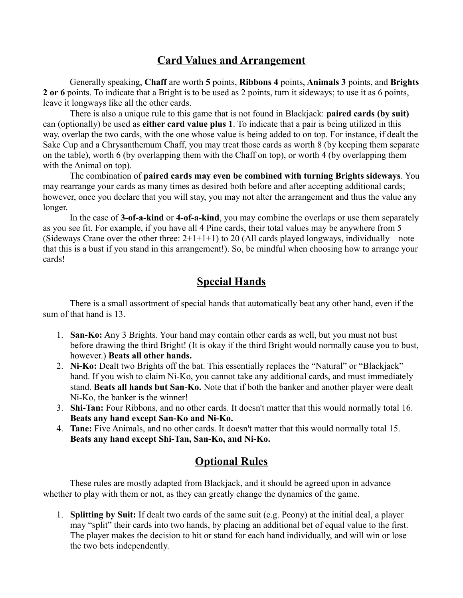#### **Card Values and Arrangement**

Generally speaking, **Chaff** are worth **5** points, **Ribbons 4** points, **Animals 3** points, and **Brights 2 or 6** points. To indicate that a Bright is to be used as 2 points, turn it sideways; to use it as 6 points, leave it longways like all the other cards.

There is also a unique rule to this game that is not found in Blackjack: **paired cards (by suit)** can (optionally) be used as **either card value plus 1**. To indicate that a pair is being utilized in this way, overlap the two cards, with the one whose value is being added to on top. For instance, if dealt the Sake Cup and a Chrysanthemum Chaff, you may treat those cards as worth 8 (by keeping them separate on the table), worth 6 (by overlapping them with the Chaff on top), or worth 4 (by overlapping them with the Animal on top).

The combination of **paired cards may even be combined with turning Brights sideways**. You may rearrange your cards as many times as desired both before and after accepting additional cards; however, once you declare that you will stay, you may not alter the arrangement and thus the value any longer.

In the case of **3-of-a-kind** or **4-of-a-kind**, you may combine the overlaps or use them separately as you see fit. For example, if you have all 4 Pine cards, their total values may be anywhere from 5 (Sideways Crane over the other three:  $2+1+1+1$ ) to 20 (All cards played longways, individually – note that this is a bust if you stand in this arrangement!). So, be mindful when choosing how to arrange your cards!

#### **Special Hands**

There is a small assortment of special hands that automatically beat any other hand, even if the sum of that hand is 13.

- 1. **San-Ko:** Any 3 Brights. Your hand may contain other cards as well, but you must not bust before drawing the third Bright! (It is okay if the third Bright would normally cause you to bust, however.) **Beats all other hands.**
- 2. **Ni-Ko:** Dealt two Brights off the bat. This essentially replaces the "Natural" or "Blackjack" hand. If you wish to claim Ni-Ko, you cannot take any additional cards, and must immediately stand. **Beats all hands but San-Ko.** Note that if both the banker and another player were dealt Ni-Ko, the banker is the winner!
- 3. **Shi-Tan:** Four Ribbons, and no other cards. It doesn't matter that this would normally total 16. **Beats any hand except San-Ko and Ni-Ko.**
- 4. **Tane:** Five Animals, and no other cards. It doesn't matter that this would normally total 15. **Beats any hand except Shi-Tan, San-Ko, and Ni-Ko.**

## **Optional Rules**

These rules are mostly adapted from Blackjack, and it should be agreed upon in advance whether to play with them or not, as they can greatly change the dynamics of the game.

1. **Splitting by Suit:** If dealt two cards of the same suit (e.g. Peony) at the initial deal, a player may "split" their cards into two hands, by placing an additional bet of equal value to the first. The player makes the decision to hit or stand for each hand individually, and will win or lose the two bets independently.